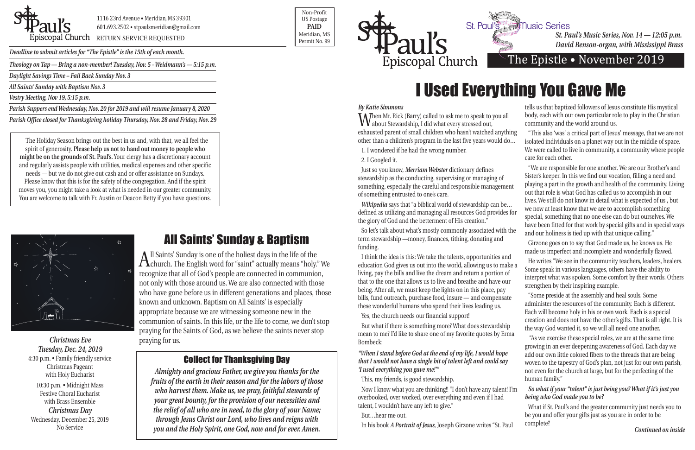*Theology on Tap — Bring a non-member! Tuesday, Nov. 5 - Weidmann's — 5:15 p.m.*

*Daylight Savings Time – Fall Back Sunday Nov. 3*

*All Saints' Sunday with Baptism Nov. 3* 

*Vestry Meeting, Nov 19, 5:15 p.m.*

*Parish Suppers end Wednesday, Nov. 20 for 2019 and will resume January 8, 2020*

*Parish Office closed for Thanksgiving holiday Thursday, Nov. 28 and Friday, Nov. 29*



1116 23rd Avenue • Meridian, MS 39301 601.693.2502 • stpaulsmeridian@gmail.com

POSCOPAL Church RETURN SERVICE REQUESTED PERMIT NO. 99

Non-Profit US Postage **PAID** Meridian, MS



*Deadline to submit articles for "The Epistle" is the 15th of each month.* 

# The Epistle • November 2019

*St. Paul's Music Series, Nov. 14 — 12:05 p.m. David Benson-organ, with Mississippi Brass* 

*Wikipedia* says that "a biblical world of stewardship can be... defined as utilizing and managing all resources God provides for the glory of God and the betterment of His creation."

#### *By Katie Simmons*

### 2. I Googled it.

Just so you know, *Merriam Webster* dictionary defines stewardship as the conducting, supervising or managing of something, especially the careful and responsible management of something entrusted to one's care.

So let's talk about what's mostly commonly associated with the term stewardship —money, finances, tithing, donating and funding.

When Mr. Rick (Barry) called to ask me to speak to you all about Stewardship, I did what every stressed out, exhausted parent of small children who hasn't watched anything other than a children's program in the last five years would do… 1. I wondered if he had the wrong number. community and the world around us. "This also 'was' a critical part of Jesus' message, that we are not isolated individuals on a planet way out in the middle of space. We were called to live in community, a community where people care for each other.

Yes, the church needs our financial support!

But what if there is something more? What does stewardship mean to me? I'd like to share one of my favorite quotes by Erma Bombeck:

*"When I stand before God at the end of my life, I would hope that I would not have a single bit of talent left and could say 'I used everything you gave me!'"* 

This, my friends, is good stewardship.

Now I know what you are thinking!! "I don't have any talent! I'm overbooked, over worked, over everything and even if I had talent, I wouldn't have any left to give."

But…hear me out.

In his book *A Portrait of Jesus*, Joseph Girzone writes "St. Paul

tells us that baptized followers of Jesus constitute His mystical body, each with our own particular role to play in the Christian

I think the idea is this: We take the talents, opportunities and education God gives us out into the world, allowing us to make a living, pay the bills and live the dream and return a portion of that to the one that allows us to live and breathe and have our being. After all, we must keep the lights on in this place, pay bills, fund outreach, purchase food, insure — and compensate these wonderful humans who spend their lives leading us. He writes "We see in the community teachers, leaders, healers. Some speak in various languages, others have the ability to interpret what was spoken. Some comfort by their words. Others strengthen by their inspiring example. "Some preside at the assembly and heal souls. Some administer the resources of the community. Each is different.

"We are responsible for one another. We are our Brother's and Sister's keeper. In this we find our vocation, filling a need and playing a part in the growth and health of the community. Living out that role is what God has called us to accomplish in our lives. We still do not know in detail what is expected of us , but we now at least know that we are to accomplish something special, something that no one else can do but ourselves. We have been fitted for that work by special gifts and in special ways and our holiness is tied up with that unique calling."

Girzone goes on to say that God made us, he knows us. He made us imperfect and incomplete and wonderfully flawed.

Each will become holy in his or own work. Each is a special creation and does not have the other's gifts. That is all right. It is the way God wanted it, so we will all need one another.

 "As we exercise these special roles, we are at the same time growing in an ever deepening awareness of God. Each day we add our own little colored fibers to the threads that are being woven to the tapestry of God's plan, not just for our own parish, not even for the church at large, but for the perfecting of the human family."

#### *So what if your "talent" is just being you? What if it's just you being who God made you to be?*

What if St. Paul's and the greater community just needs you to be you and offer your gifts just as you are in order to be complete?

# All Saints' Sunday & Baptism

All Saints' Sunday is one of the holiest days in the life of the church. The English word for "saint" actually means "holy." We recognize that all of God's people are connected in communion, not only with those around us. We are also connected with those who have gone before us in different generations and places, those known and unknown. Baptism on All Saints' is especially appropriate because we are witnessing someone new in the communion of saints. In this life, or the life to come, we don't stop praying for the Saints of God, as we believe the saints never stop praying for us.

## Collect for Thanksgiving Day

*Almighty and gracious Father, we give you thanks for the fruits of the earth in their season and for the labors of those who harvest them. Make us, we pray, faithful stewards of your great bounty, for the provision of our necessities and the relief of all who are in need, to the glory of your Name; through Jesus Christ our Lord, who lives and reigns with you and the Holy Spirit, one God, now and for ever. Amen.*

*Christmas Eve Tuesday, Dec. 24, 2019* 4:30 p.m. • Family friendly service Christmas Pageant with Holy Eucharist 10:30 p.m. • Midnight Mass Festive Choral Eucharist with Brass Ensemble *Christmas Day* Wednesday, December 25, 2019 No Service

# I Used Everything You Gave Me

*Continued on inside*

The Holiday Season brings out the best in us and, with that, we all feel the spirit of generosity. **Please help us not to hand out money to people who might be on the grounds of St. Paul's.** Your clergy has a discretionary account and regularly assists people with utilities, medical expenses and other specific needs — but we do not give out cash and or offer assistance on Sundays. Please know that this is for the safety of the congregation. And if the spirit moves you, you might take a look at what is needed in our greater community. You are welcome to talk with Fr. Austin or Deacon Betty if you have questions.